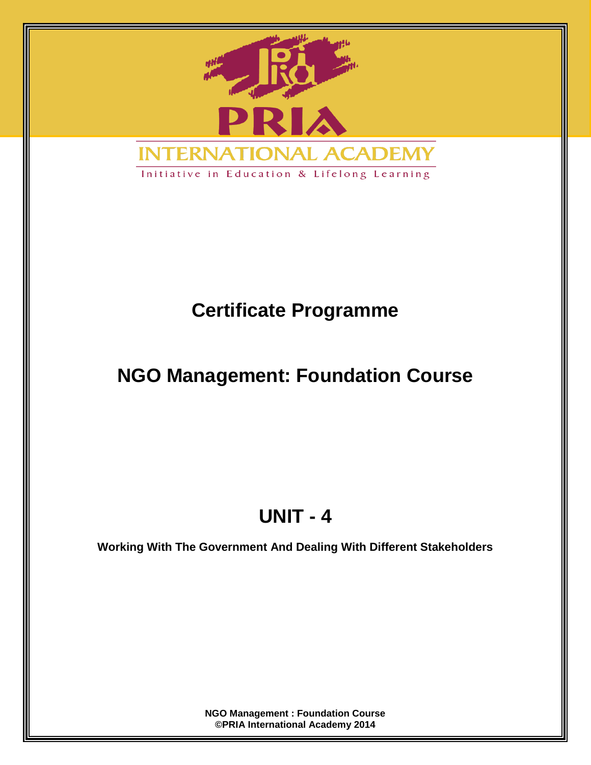

Initiative in Education & Lifelong Learning

# **Certificate Programme**

# **NGO Management: Foundation Course**

# **UNIT - 4**

**Working With The Government And Dealing With Different Stakeholders**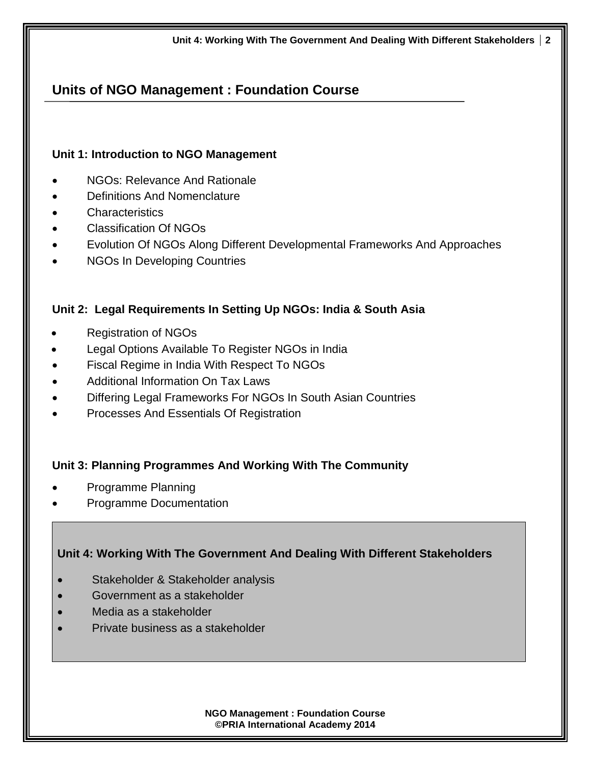# **Units of NGO Management : Foundation Course**

#### **Unit 1: Introduction to NGO Management**

- NGOs: Relevance And Rationale
- Definitions And Nomenclature
- **Characteristics**
- Classification Of NGOs
- Evolution Of NGOs Along Different Developmental Frameworks And Approaches
- NGOs In Developing Countries

#### **Unit 2: Legal Requirements In Setting Up NGOs: India & South Asia**

- Registration of NGOs
- Legal Options Available To Register NGOs in India
- Fiscal Regime in India With Respect To NGOs
- Additional Information On Tax Laws
- Differing Legal Frameworks For NGOs In South Asian Countries
- Processes And Essentials Of Registration

#### **Unit 3: Planning Programmes And Working With The Community**

- Programme Planning
- Programme Documentation

#### **Unit 4: Working With The Government And Dealing With Different Stakeholders**

- Stakeholder & Stakeholder analysis
- Government as a stakeholder
- Media as a stakeholder
- Private business as a stakeholder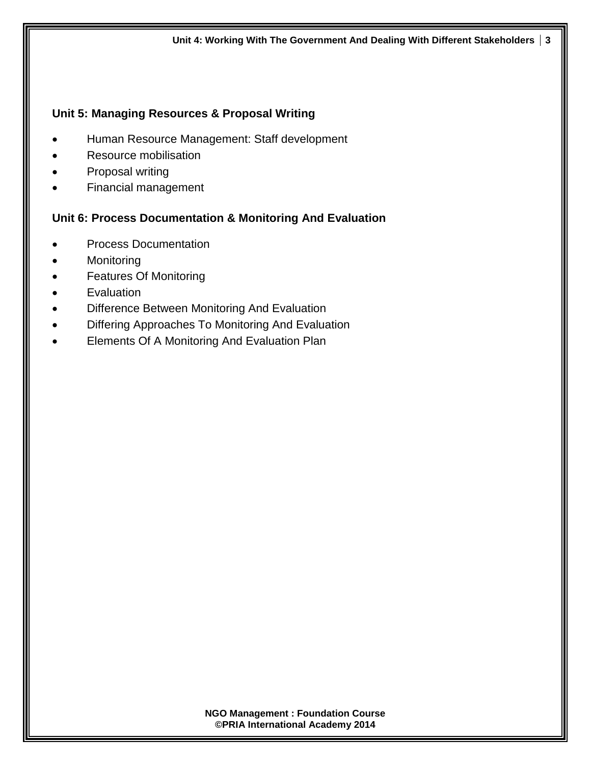#### **Unit 5: Managing Resources & Proposal Writing**

- Human Resource Management: Staff development
- Resource mobilisation
- Proposal writing
- Financial management

#### **Unit 6: Process Documentation & Monitoring And Evaluation**

- Process Documentation
- Monitoring
- Features Of Monitoring
- **•** Evaluation
- Difference Between Monitoring And Evaluation
- Differing Approaches To Monitoring And Evaluation
- **Elements Of A Monitoring And Evaluation Plan**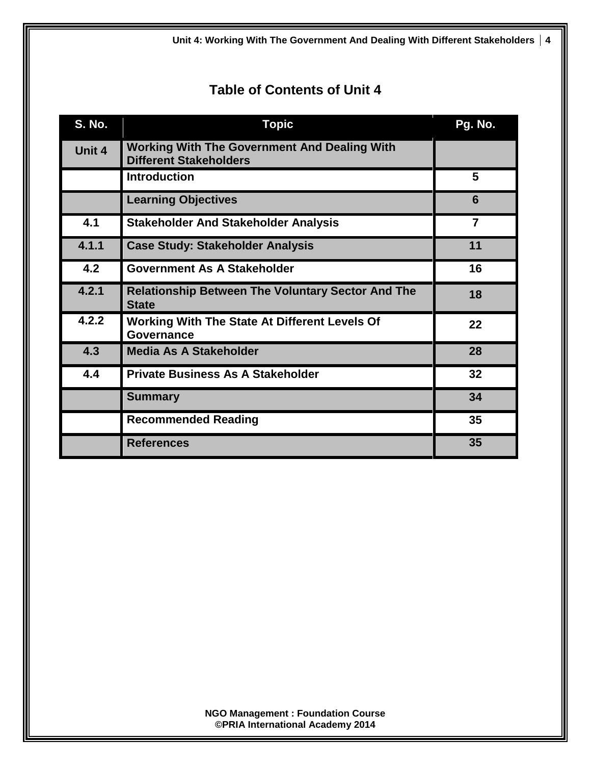**Unit 4: Working With The Government And Dealing With Different Stakeholders 4**

# **Table of Contents of Unit 4**

| <b>S. No.</b> | <b>Topic</b>                                                                         | Pg. No. |
|---------------|--------------------------------------------------------------------------------------|---------|
| Unit 4        | <b>Working With The Government And Dealing With</b><br><b>Different Stakeholders</b> |         |
|               | <b>Introduction</b>                                                                  | 5       |
|               | <b>Learning Objectives</b>                                                           | 6       |
| 4.1           | <b>Stakeholder And Stakeholder Analysis</b>                                          | 7       |
| 4.1.1         | <b>Case Study: Stakeholder Analysis</b>                                              | 11      |
| 4.2           | <b>Government As A Stakeholder</b>                                                   | 16      |
| 4.2.1         | <b>Relationship Between The Voluntary Sector And The</b><br><b>State</b>             | 18      |
| 4.2.2         | <b>Working With The State At Different Levels Of</b><br><b>Governance</b>            | 22      |
| 4.3           | <b>Media As A Stakeholder</b>                                                        | 28      |
| 4.4           | <b>Private Business As A Stakeholder</b>                                             | 32      |
|               | <b>Summary</b>                                                                       | 34      |
|               | <b>Recommended Reading</b>                                                           | 35      |
|               | <b>References</b>                                                                    | 35      |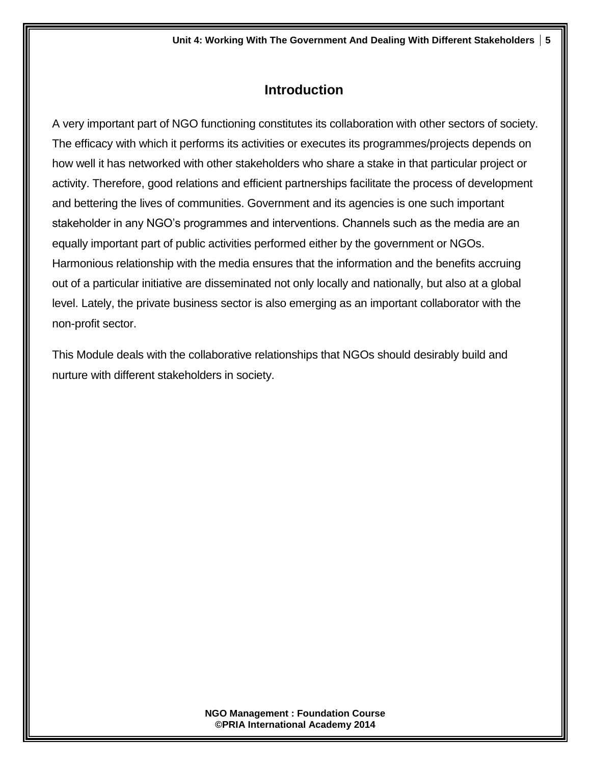# **Introduction**

A very important part of NGO functioning constitutes its collaboration with other sectors of society. The efficacy with which it performs its activities or executes its programmes/projects depends on how well it has networked with other stakeholders who share a stake in that particular project or activity. Therefore, good relations and efficient partnerships facilitate the process of development and bettering the lives of communities. Government and its agencies is one such important stakeholder in any NGO's programmes and interventions. Channels such as the media are an equally important part of public activities performed either by the government or NGOs. Harmonious relationship with the media ensures that the information and the benefits accruing out of a particular initiative are disseminated not only locally and nationally, but also at a global level. Lately, the private business sector is also emerging as an important collaborator with the non-profit sector.

This Module deals with the collaborative relationships that NGOs should desirably build and nurture with different stakeholders in society.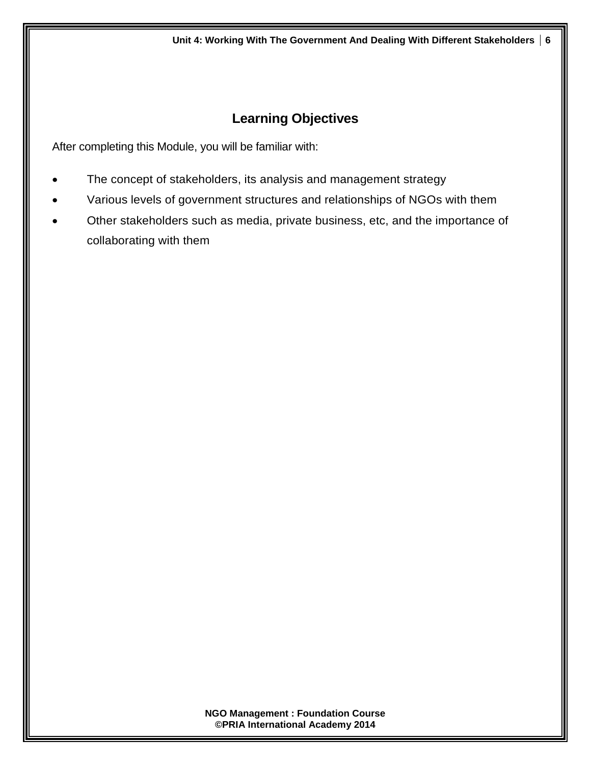# **Learning Objectives**

After completing this Module, you will be familiar with:

- The concept of stakeholders, its analysis and management strategy
- Various levels of government structures and relationships of NGOs with them
- Other stakeholders such as media, private business, etc, and the importance of collaborating with them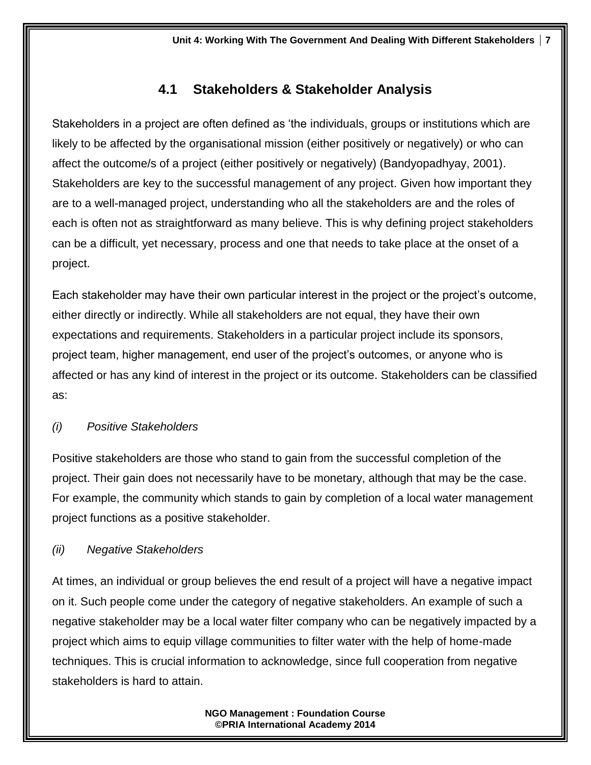# **4.1 Stakeholders & Stakeholder Analysis**

Stakeholders in a project are often defined as 'the individuals, groups or institutions which are likely to be affected by the organisational mission (either positively or negatively) or who can affect the outcome/s of a project (either positively or negatively) (Bandyopadhyay, 2001). Stakeholders are key to the successful management of any project. Given how important they are to a well-managed project, understanding who all the stakeholders are and the roles of each is often not as straightforward as many believe. This is why defining project stakeholders can be a difficult, yet necessary, process and one that needs to take place at the onset of a project.

Each stakeholder may have their own particular interest in the project or the project's outcome, either directly or indirectly. While all stakeholders are not equal, they have their own expectations and requirements. Stakeholders in a particular project include its sponsors, project team, higher management, end user of the project's outcomes, or anyone who is affected or has any kind of interest in the project or its outcome. Stakeholders can be classified as:

# *(i) Positive Stakeholders*

Positive stakeholders are those who stand to gain from the successful completion of the project. Their gain does not necessarily have to be monetary, although that may be the case. For example, the community which stands to gain by completion of a local water management project functions as a positive stakeholder.

# *(ii) Negative Stakeholders*

At times, an individual or group believes the end result of a project will have a negative impact on it. Such people come under the category of negative stakeholders. An example of such a negative stakeholder may be a local water filter company who can be negatively impacted by a project which aims to equip village communities to filter water with the help of home-made techniques. This is crucial information to acknowledge, since full cooperation from negative stakeholders is hard to attain.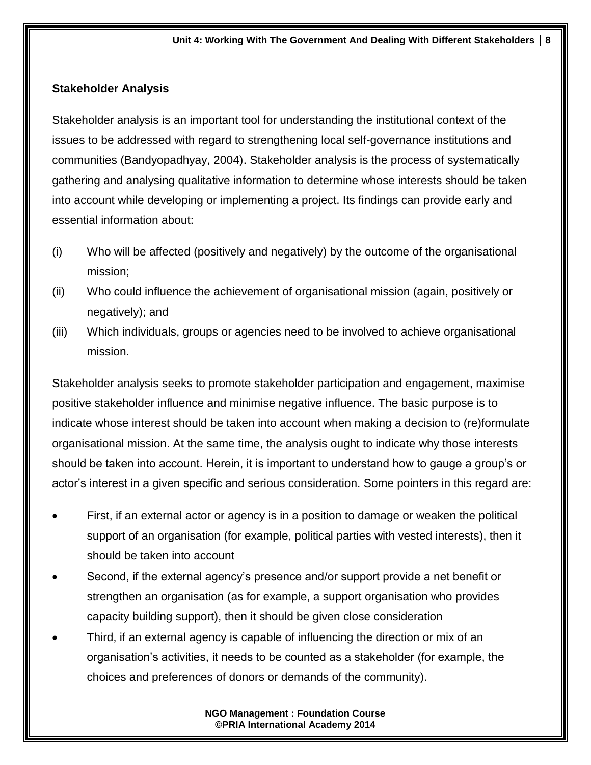#### **Stakeholder Analysis**

Stakeholder analysis is an important tool for understanding the institutional context of the issues to be addressed with regard to strengthening local self-governance institutions and communities (Bandyopadhyay, 2004). Stakeholder analysis is the process of systematically gathering and analysing qualitative information to determine whose interests should be taken into account while developing or implementing a project. Its findings can provide early and essential information about:

- (i) Who will be affected (positively and negatively) by the outcome of the organisational mission;
- (ii) Who could influence the achievement of organisational mission (again, positively or negatively); and
- (iii) Which individuals, groups or agencies need to be involved to achieve organisational mission.

Stakeholder analysis seeks to promote stakeholder participation and engagement, maximise positive stakeholder influence and minimise negative influence. The basic purpose is to indicate whose interest should be taken into account when making a decision to (re)formulate organisational mission. At the same time, the analysis ought to indicate why those interests should be taken into account. Herein, it is important to understand how to gauge a group's or actor's interest in a given specific and serious consideration. Some pointers in this regard are:

- First, if an external actor or agency is in a position to damage or weaken the political support of an organisation (for example, political parties with vested interests), then it should be taken into account
- Second, if the external agency's presence and/or support provide a net benefit or strengthen an organisation (as for example, a support organisation who provides capacity building support), then it should be given close consideration
- Third, if an external agency is capable of influencing the direction or mix of an organisation's activities, it needs to be counted as a stakeholder (for example, the choices and preferences of donors or demands of the community).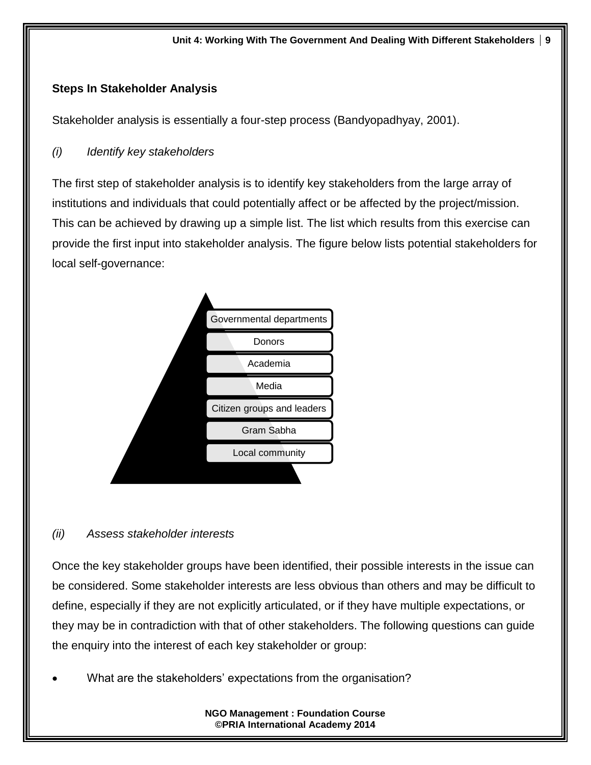#### **Steps In Stakeholder Analysis**

Stakeholder analysis is essentially a four-step process (Bandyopadhyay, 2001).

#### *(i) Identify key stakeholders*

The first step of stakeholder analysis is to identify key stakeholders from the large array of institutions and individuals that could potentially affect or be affected by the project/mission. This can be achieved by drawing up a simple list. The list which results from this exercise can provide the first input into stakeholder analysis. The figure below lists potential stakeholders for local self-governance:



#### *(ii) Assess stakeholder interests*

Once the key stakeholder groups have been identified, their possible interests in the issue can be considered. Some stakeholder interests are less obvious than others and may be difficult to define, especially if they are not explicitly articulated, or if they have multiple expectations, or they may be in contradiction with that of other stakeholders. The following questions can guide the enquiry into the interest of each key stakeholder or group:

What are the stakeholders' expectations from the organisation?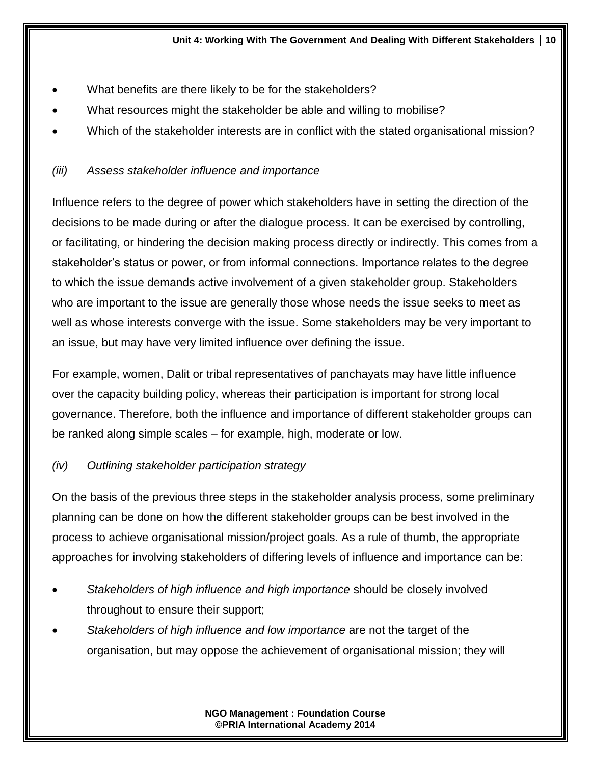- What benefits are there likely to be for the stakeholders?
- What resources might the stakeholder be able and willing to mobilise?
- Which of the stakeholder interests are in conflict with the stated organisational mission?

## *(iii) Assess stakeholder influence and importance*

Influence refers to the degree of power which stakeholders have in setting the direction of the decisions to be made during or after the dialogue process. It can be exercised by controlling, or facilitating, or hindering the decision making process directly or indirectly. This comes from a stakeholder's status or power, or from informal connections. Importance relates to the degree to which the issue demands active involvement of a given stakeholder group. Stakeholders who are important to the issue are generally those whose needs the issue seeks to meet as well as whose interests converge with the issue. Some stakeholders may be very important to an issue, but may have very limited influence over defining the issue.

For example, women, Dalit or tribal representatives of panchayats may have little influence over the capacity building policy, whereas their participation is important for strong local governance. Therefore, both the influence and importance of different stakeholder groups can be ranked along simple scales – for example, high, moderate or low.

#### *(iv) Outlining stakeholder participation strategy*

On the basis of the previous three steps in the stakeholder analysis process, some preliminary planning can be done on how the different stakeholder groups can be best involved in the process to achieve organisational mission/project goals. As a rule of thumb, the appropriate approaches for involving stakeholders of differing levels of influence and importance can be:

- *Stakeholders of high influence and high importance* should be closely involved throughout to ensure their support;
- *Stakeholders of high influence and low importance* are not the target of the organisation, but may oppose the achievement of organisational mission; they will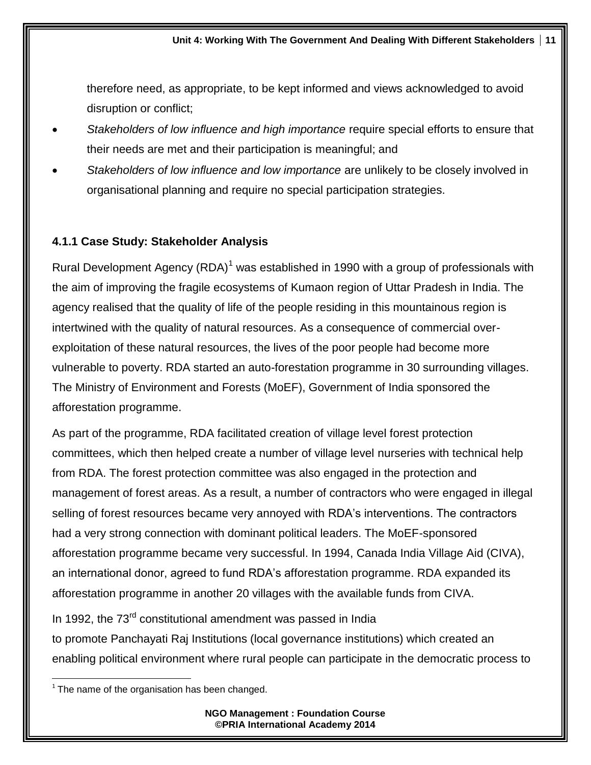therefore need, as appropriate, to be kept informed and views acknowledged to avoid disruption or conflict;

- *Stakeholders of low influence and high importance* require special efforts to ensure that their needs are met and their participation is meaningful; and
- *Stakeholders of low influence and low importance* are unlikely to be closely involved in organisational planning and require no special participation strategies.

## **4.1.1 Case Study: Stakeholder Analysis**

Rural Development Agency  $(RDA)^1$  was established in 1990 with a group of professionals with the aim of improving the fragile ecosystems of Kumaon region of Uttar Pradesh in India. The agency realised that the quality of life of the people residing in this mountainous region is intertwined with the quality of natural resources. As a consequence of commercial overexploitation of these natural resources, the lives of the poor people had become more vulnerable to poverty. RDA started an auto-forestation programme in 30 surrounding villages. The Ministry of Environment and Forests (MoEF), Government of India sponsored the afforestation programme.

As part of the programme, RDA facilitated creation of village level forest protection committees, which then helped create a number of village level nurseries with technical help from RDA. The forest protection committee was also engaged in the protection and management of forest areas. As a result, a number of contractors who were engaged in illegal selling of forest resources became very annoyed with RDA's interventions. The contractors had a very strong connection with dominant political leaders. The MoEF-sponsored afforestation programme became very successful. In 1994, Canada India Village Aid (CIVA), an international donor, agreed to fund RDA's afforestation programme. RDA expanded its afforestation programme in another 20 villages with the available funds from CIVA.

In 1992, the 73<sup>rd</sup> constitutional amendment was passed in India to promote Panchayati Raj Institutions (local governance institutions) which created an enabling political environment where rural people can participate in the democratic process to

 $\overline{\phantom{a}}$  $1$  The name of the organisation has been changed.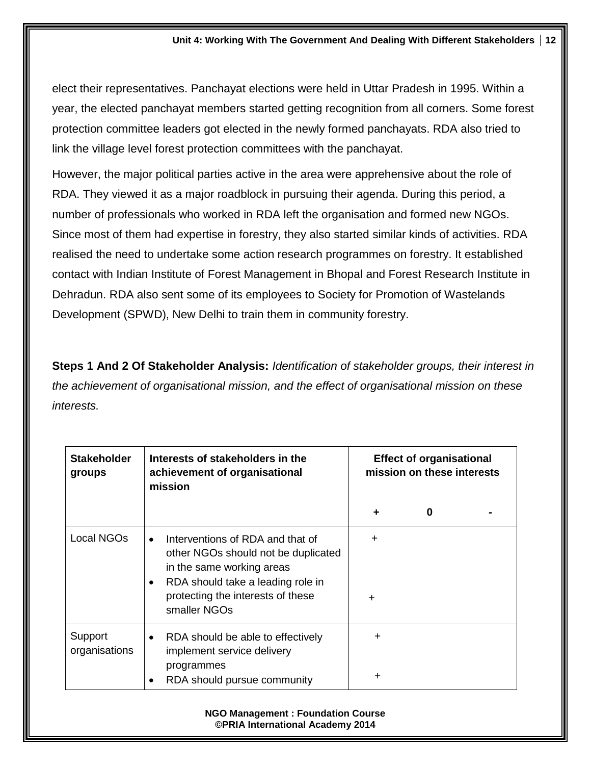elect their representatives. Panchayat elections were held in Uttar Pradesh in 1995. Within a year, the elected panchayat members started getting recognition from all corners. Some forest protection committee leaders got elected in the newly formed panchayats. RDA also tried to link the village level forest protection committees with the panchayat.

However, the major political parties active in the area were apprehensive about the role of RDA. They viewed it as a major roadblock in pursuing their agenda. During this period, a number of professionals who worked in RDA left the organisation and formed new NGOs. Since most of them had expertise in forestry, they also started similar kinds of activities. RDA realised the need to undertake some action research programmes on forestry. It established contact with Indian Institute of Forest Management in Bhopal and Forest Research Institute in Dehradun. RDA also sent some of its employees to Society for Promotion of Wastelands Development (SPWD), New Delhi to train them in community forestry.

**Steps 1 And 2 Of Stakeholder Analysis:** *Identification of stakeholder groups, their interest in the achievement of organisational mission, and the effect of organisational mission on these interests.*

| <b>Effect of organisational</b><br>mission on these interests |  |
|---------------------------------------------------------------|--|
| 0                                                             |  |
|                                                               |  |
|                                                               |  |
|                                                               |  |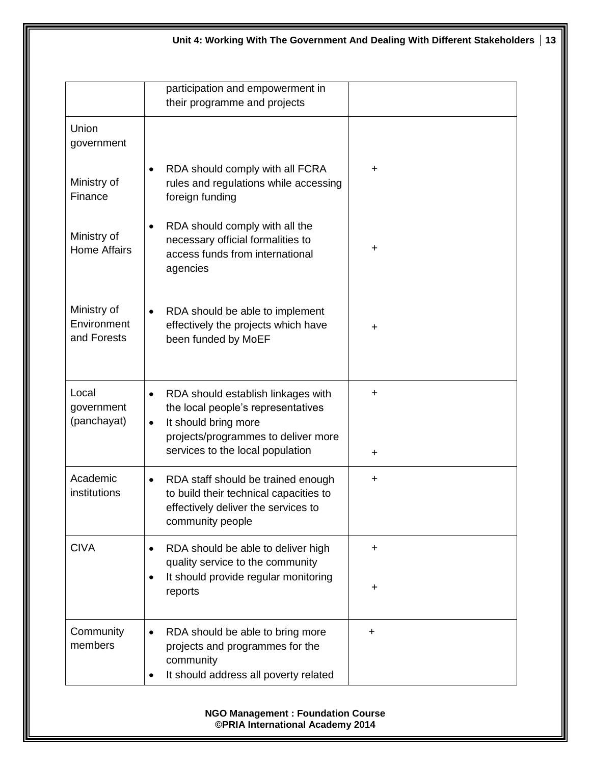|                                           | participation and empowerment in<br>their programme and projects                                                                                                                                      |            |
|-------------------------------------------|-------------------------------------------------------------------------------------------------------------------------------------------------------------------------------------------------------|------------|
| Union<br>government                       |                                                                                                                                                                                                       |            |
| Ministry of<br>Finance                    | RDA should comply with all FCRA<br>$\bullet$<br>rules and regulations while accessing<br>foreign funding                                                                                              | +          |
| Ministry of<br><b>Home Affairs</b>        | RDA should comply with all the<br>$\bullet$<br>necessary official formalities to<br>access funds from international<br>agencies                                                                       | +          |
| Ministry of<br>Environment<br>and Forests | RDA should be able to implement<br>$\bullet$<br>effectively the projects which have<br>been funded by MoEF                                                                                            | $\ddot{}$  |
| Local<br>government<br>(panchayat)        | RDA should establish linkages with<br>$\bullet$<br>the local people's representatives<br>It should bring more<br>$\bullet$<br>projects/programmes to deliver more<br>services to the local population | +<br>+     |
| Academic<br>institutions                  | RDA staff should be trained enough<br>$\bullet$<br>to build their technical capacities to<br>effectively deliver the services to<br>community people                                                  | ┿          |
| <b>CIVA</b>                               | RDA should be able to deliver high<br>$\bullet$<br>quality service to the community<br>It should provide regular monitoring<br>$\bullet$<br>reports                                                   | +<br>$\pm$ |
| Community<br>members                      | RDA should be able to bring more<br>$\bullet$<br>projects and programmes for the<br>community<br>It should address all poverty related<br>$\bullet$                                                   | $\ddot{}$  |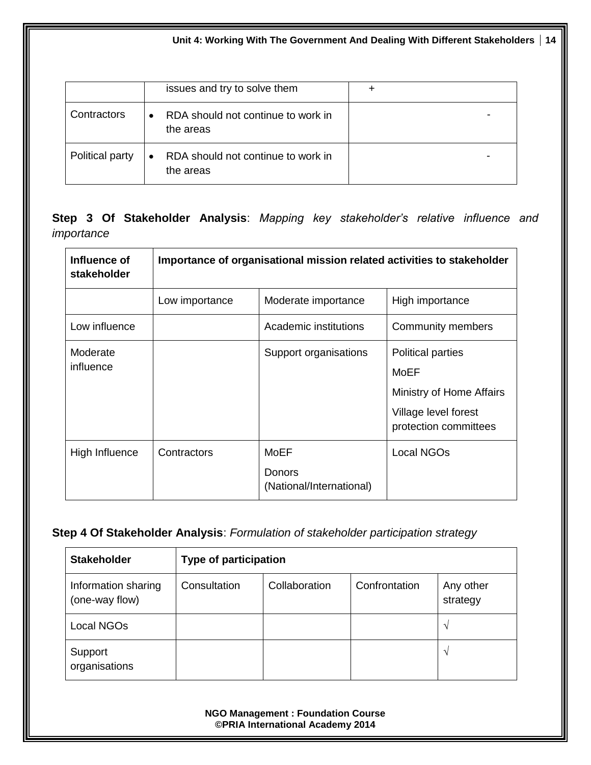**Unit 4: Working With The Government And Dealing With Different Stakeholders 14**

|                 | issues and try to solve them                    |  |
|-----------------|-------------------------------------------------|--|
| Contractors     | RDA should not continue to work in<br>the areas |  |
| Political party | RDA should not continue to work in<br>the areas |  |

**Step 3 Of Stakeholder Analysis**: *Mapping key stakeholder's relative influence and importance*

| Influence of<br>stakeholder |                | Importance of organisational mission related activities to stakeholder |                                                                                                               |
|-----------------------------|----------------|------------------------------------------------------------------------|---------------------------------------------------------------------------------------------------------------|
|                             | Low importance | Moderate importance                                                    | High importance                                                                                               |
| Low influence               |                | Academic institutions                                                  | Community members                                                                                             |
| Moderate<br>influence       |                | Support organisations                                                  | <b>Political parties</b><br>MoEF<br>Ministry of Home Affairs<br>Village level forest<br>protection committees |
| High Influence              | Contractors    | MoEF<br>Donors<br>(National/International)                             | Local NGOs                                                                                                    |

#### **Step 4 Of Stakeholder Analysis**: *Formulation of stakeholder participation strategy*

| <b>Stakeholder</b>                    | <b>Type of participation</b> |               |               |                       |
|---------------------------------------|------------------------------|---------------|---------------|-----------------------|
| Information sharing<br>(one-way flow) | Consultation                 | Collaboration | Confrontation | Any other<br>strategy |
| Local NGOs                            |                              |               |               | N                     |
| Support<br>organisations              |                              |               |               | $\mathbf{v}$          |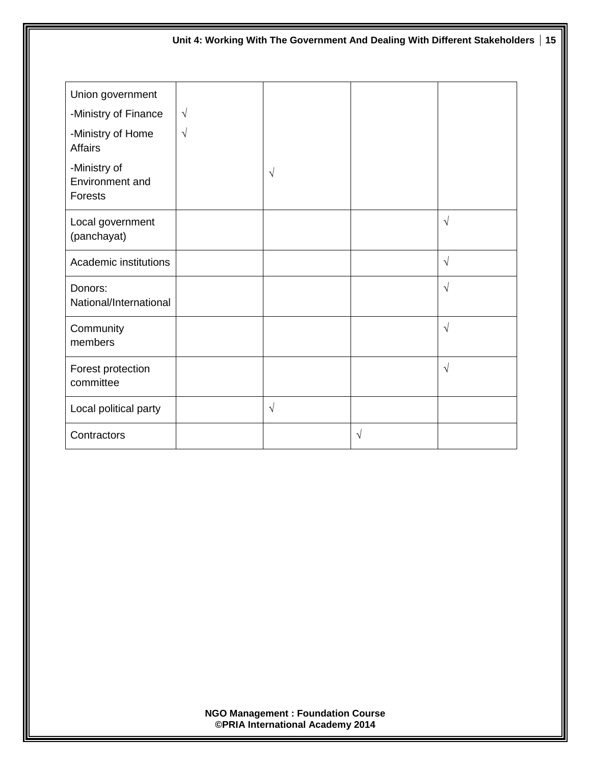| Unit 4: Working With The Government And Dealing With Different Stakeholders   15 |            |            |           |            |  |
|----------------------------------------------------------------------------------|------------|------------|-----------|------------|--|
| Union government                                                                 |            |            |           |            |  |
| -Ministry of Finance                                                             | $\sqrt{}$  |            |           |            |  |
| -Ministry of Home<br><b>Affairs</b>                                              | $\sqrt{ }$ |            |           |            |  |
| -Ministry of<br>Environment and<br>Forests                                       |            | $\sqrt{}$  |           |            |  |
| Local government<br>(panchayat)                                                  |            |            |           | $\sqrt{ }$ |  |
| Academic institutions                                                            |            |            |           | $\sqrt{ }$ |  |
| Donors:<br>National/International                                                |            |            |           | $\sqrt{ }$ |  |
| Community<br>members                                                             |            |            |           | $\sqrt{ }$ |  |
| Forest protection<br>committee                                                   |            |            |           | $\sqrt{ }$ |  |
| Local political party                                                            |            | $\sqrt{ }$ |           |            |  |
| Contractors                                                                      |            |            | $\sqrt{}$ |            |  |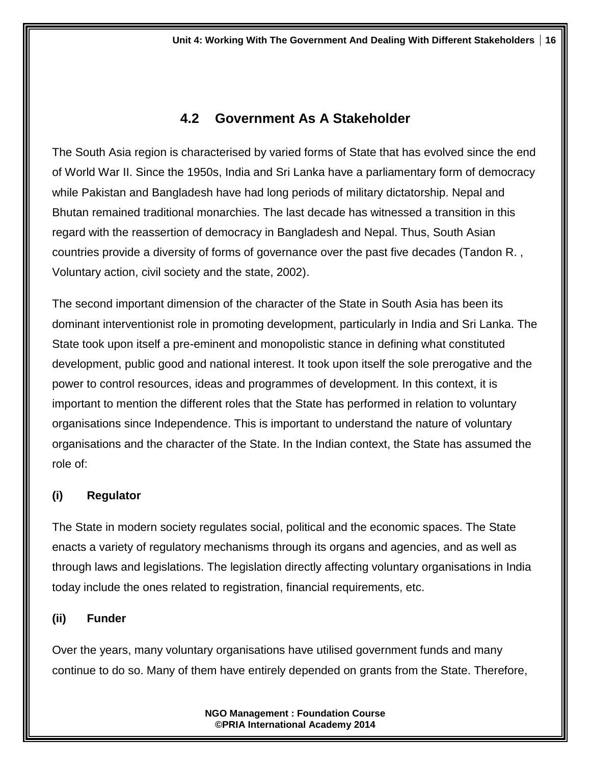# **4.2 Government As A Stakeholder**

The South Asia region is characterised by varied forms of State that has evolved since the end of World War II. Since the 1950s, India and Sri Lanka have a parliamentary form of democracy while Pakistan and Bangladesh have had long periods of military dictatorship. Nepal and Bhutan remained traditional monarchies. The last decade has witnessed a transition in this regard with the reassertion of democracy in Bangladesh and Nepal. Thus, South Asian countries provide a diversity of forms of governance over the past five decades (Tandon R. , Voluntary action, civil society and the state, 2002).

The second important dimension of the character of the State in South Asia has been its dominant interventionist role in promoting development, particularly in India and Sri Lanka. The State took upon itself a pre-eminent and monopolistic stance in defining what constituted development, public good and national interest. It took upon itself the sole prerogative and the power to control resources, ideas and programmes of development. In this context, it is important to mention the different roles that the State has performed in relation to voluntary organisations since Independence. This is important to understand the nature of voluntary organisations and the character of the State. In the Indian context, the State has assumed the role of:

## **(i) Regulator**

The State in modern society regulates social, political and the economic spaces. The State enacts a variety of regulatory mechanisms through its organs and agencies, and as well as through laws and legislations. The legislation directly affecting voluntary organisations in India today include the ones related to registration, financial requirements, etc.

#### **(ii) Funder**

Over the years, many voluntary organisations have utilised government funds and many continue to do so. Many of them have entirely depended on grants from the State. Therefore,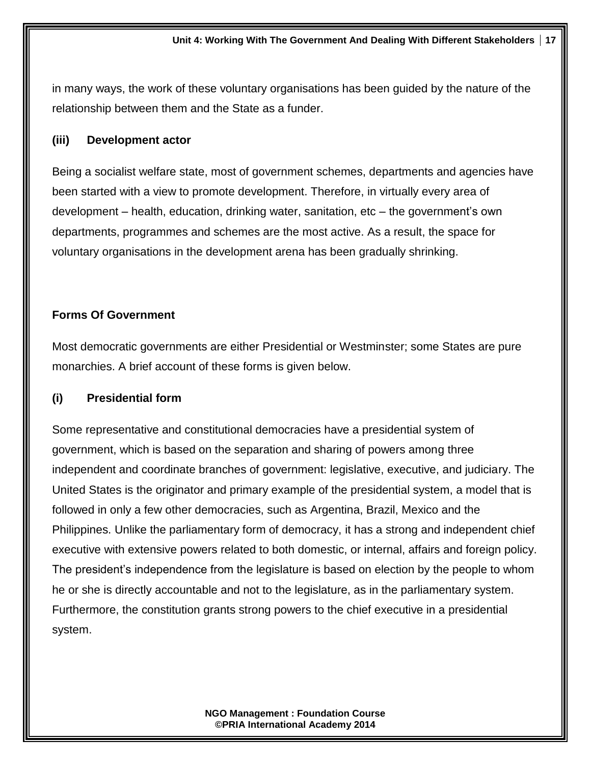in many ways, the work of these voluntary organisations has been guided by the nature of the relationship between them and the State as a funder.

#### **(iii) Development actor**

Being a socialist welfare state, most of government schemes, departments and agencies have been started with a view to promote development. Therefore, in virtually every area of development – health, education, drinking water, sanitation, etc – the government's own departments, programmes and schemes are the most active. As a result, the space for voluntary organisations in the development arena has been gradually shrinking.

#### **Forms Of Government**

Most democratic governments are either Presidential or Westminster; some States are pure monarchies. A brief account of these forms is given below.

#### **(i) Presidential form**

Some representative and constitutional democracies have a presidential system of government, which is based on the separation and sharing of powers among three independent and coordinate branches of government: legislative, executive, and judiciary. The United States is the originator and primary example of the presidential system, a model that is followed in only a few other democracies, such as Argentina, Brazil, Mexico and the Philippines. Unlike the parliamentary form of democracy, it has a strong and independent chief executive with extensive powers related to both domestic, or internal, affairs and foreign policy. The president's independence from the legislature is based on election by the people to whom he or she is directly accountable and not to the legislature, as in the parliamentary system. Furthermore, the constitution grants strong powers to the chief executive in a presidential system.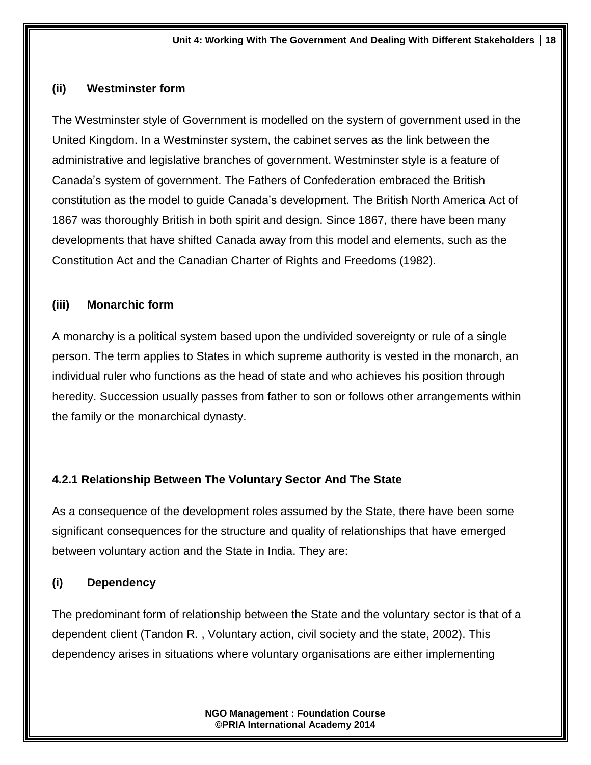#### **(ii) Westminster form**

The Westminster style of Government is modelled on the system of government used in the United Kingdom. In a Westminster system, the cabinet serves as the link between the administrative and legislative branches of government. Westminster style is a feature of Canada's system of government. The Fathers of Confederation embraced the British constitution as the model to guide Canada's development. The British North America Act of 1867 was thoroughly British in both spirit and design. Since 1867, there have been many developments that have shifted Canada away from this model and elements, such as the Constitution Act and the Canadian Charter of Rights and Freedoms (1982).

#### **(iii) Monarchic form**

A monarchy is a [political system](http://www.britannica.com/EBchecked/topic/467746/political-system) based upon the undivided sovereignty or rule of a single person. The term applies to States in which supreme authority is vested in the [monarch,](http://www.britannica.com/EBchecked/topic/708987/monarch) an individual ruler who functions as the head of state and who achieves his position through heredity. Succession usually passes from father to son or follows other arrangements within the family or the monarchical dynasty.

#### **4.2.1 Relationship Between The Voluntary Sector And The State**

As a consequence of the development roles assumed by the State, there have been some significant consequences for the structure and quality of relationships that have emerged between voluntary action and the State in India. They are:

#### **(i) Dependency**

The predominant form of relationship between the State and the voluntary sector is that of a dependent client (Tandon R. , Voluntary action, civil society and the state, 2002). This dependency arises in situations where voluntary organisations are either implementing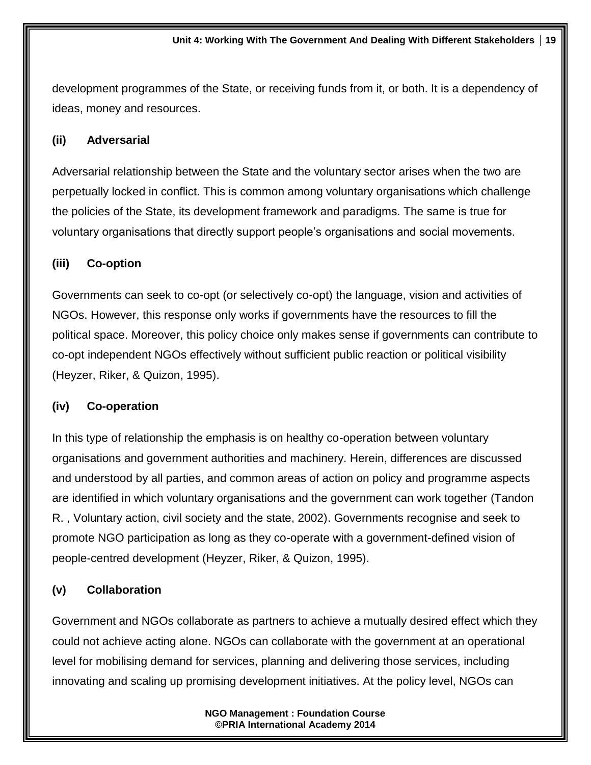development programmes of the State, or receiving funds from it, or both. It is a dependency of ideas, money and resources.

#### **(ii) Adversarial**

Adversarial relationship between the State and the voluntary sector arises when the two are perpetually locked in conflict. This is common among voluntary organisations which challenge the policies of the State, its development framework and paradigms. The same is true for voluntary organisations that directly support people's organisations and social movements.

#### **(iii) Co-option**

Governments can seek to co-opt (or selectively co-opt) the language, vision and activities of NGOs. However, this response only works if governments have the resources to fill the political space. Moreover, this policy choice only makes sense if governments can contribute to co-opt independent NGOs effectively without sufficient public reaction or political visibility (Heyzer, Riker, & Quizon, 1995).

#### **(iv) Co-operation**

In this type of relationship the emphasis is on healthy co-operation between voluntary organisations and government authorities and machinery. Herein, differences are discussed and understood by all parties, and common areas of action on policy and programme aspects are identified in which voluntary organisations and the government can work together (Tandon R. , Voluntary action, civil society and the state, 2002). Governments recognise and seek to promote NGO participation as long as they co-operate with a government-defined vision of people-centred development (Heyzer, Riker, & Quizon, 1995).

#### **(v) Collaboration**

Government and NGOs collaborate as partners to achieve a mutually desired effect which they could not achieve acting alone. NGOs can collaborate with the government at an operational level for mobilising demand for services, planning and delivering those services, including innovating and scaling up promising development initiatives. At the policy level, NGOs can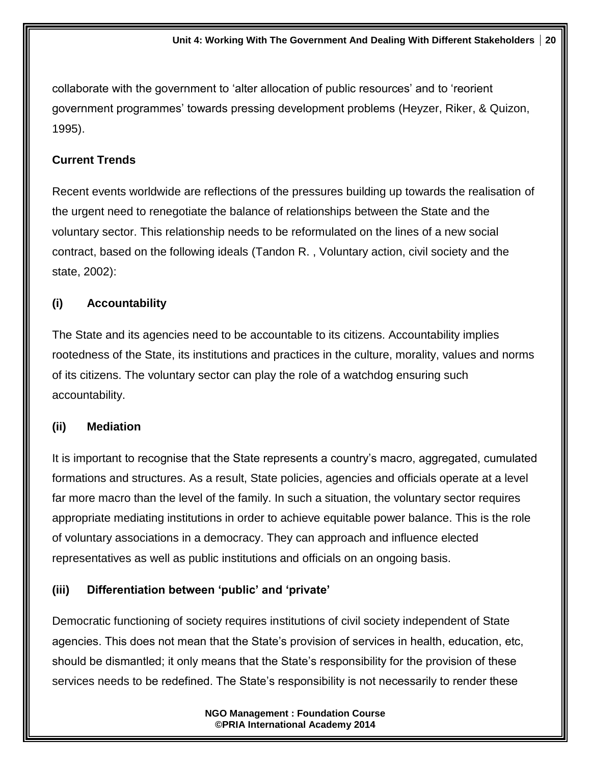collaborate with the government to 'alter allocation of public resources' and to 'reorient government programmes' towards pressing development problems (Heyzer, Riker, & Quizon, 1995).

#### **Current Trends**

Recent events worldwide are reflections of the pressures building up towards the realisation of the urgent need to renegotiate the balance of relationships between the State and the voluntary sector. This relationship needs to be reformulated on the lines of a new social contract, based on the following ideals (Tandon R. , Voluntary action, civil society and the state, 2002):

#### **(i) Accountability**

The State and its agencies need to be accountable to its citizens. Accountability implies rootedness of the State, its institutions and practices in the culture, morality, values and norms of its citizens. The voluntary sector can play the role of a watchdog ensuring such accountability.

#### **(ii) Mediation**

It is important to recognise that the State represents a country's macro, aggregated, cumulated formations and structures. As a result, State policies, agencies and officials operate at a level far more macro than the level of the family. In such a situation, the voluntary sector requires appropriate mediating institutions in order to achieve equitable power balance. This is the role of voluntary associations in a democracy. They can approach and influence elected representatives as well as public institutions and officials on an ongoing basis.

#### **(iii) Differentiation between 'public' and 'private'**

Democratic functioning of society requires institutions of civil society independent of State agencies. This does not mean that the State's provision of services in health, education, etc, should be dismantled; it only means that the State's responsibility for the provision of these services needs to be redefined. The State's responsibility is not necessarily to render these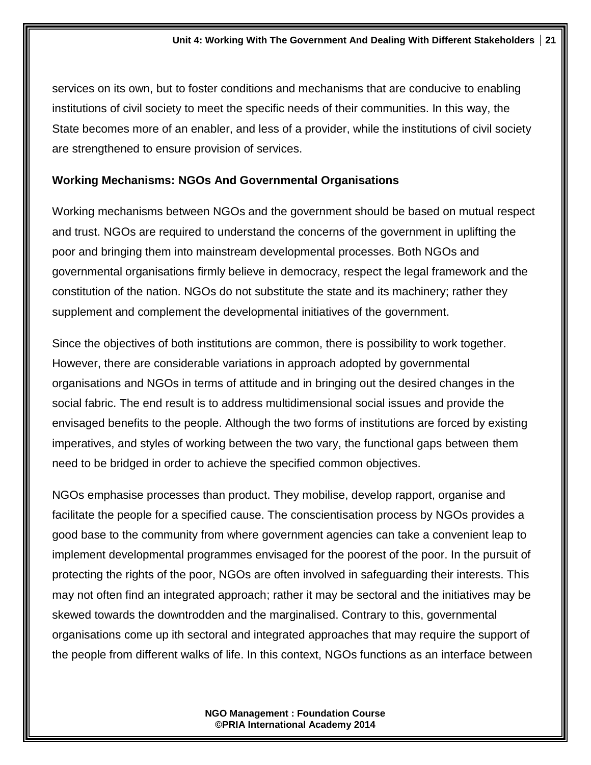services on its own, but to foster conditions and mechanisms that are conducive to enabling institutions of civil society to meet the specific needs of their communities. In this way, the State becomes more of an enabler, and less of a provider, while the institutions of civil society are strengthened to ensure provision of services.

#### **Working Mechanisms: NGOs And Governmental Organisations**

Working mechanisms between NGOs and the government should be based on mutual respect and trust. NGOs are required to understand the concerns of the government in uplifting the poor and bringing them into mainstream developmental processes. Both NGOs and governmental organisations firmly believe in democracy, respect the legal framework and the constitution of the nation. NGOs do not substitute the state and its machinery; rather they supplement and complement the developmental initiatives of the government.

Since the objectives of both institutions are common, there is possibility to work together. However, there are considerable variations in approach adopted by governmental organisations and NGOs in terms of attitude and in bringing out the desired changes in the social fabric. The end result is to address multidimensional social issues and provide the envisaged benefits to the people. Although the two forms of institutions are forced by existing imperatives, and styles of working between the two vary, the functional gaps between them need to be bridged in order to achieve the specified common objectives.

NGOs emphasise processes than product. They mobilise, develop rapport, organise and facilitate the people for a specified cause. The conscientisation process by NGOs provides a good base to the community from where government agencies can take a convenient leap to implement developmental programmes envisaged for the poorest of the poor. In the pursuit of protecting the rights of the poor, NGOs are often involved in safeguarding their interests. This may not often find an integrated approach; rather it may be sectoral and the initiatives may be skewed towards the downtrodden and the marginalised. Contrary to this, governmental organisations come up ith sectoral and integrated approaches that may require the support of the people from different walks of life. In this context, NGOs functions as an interface between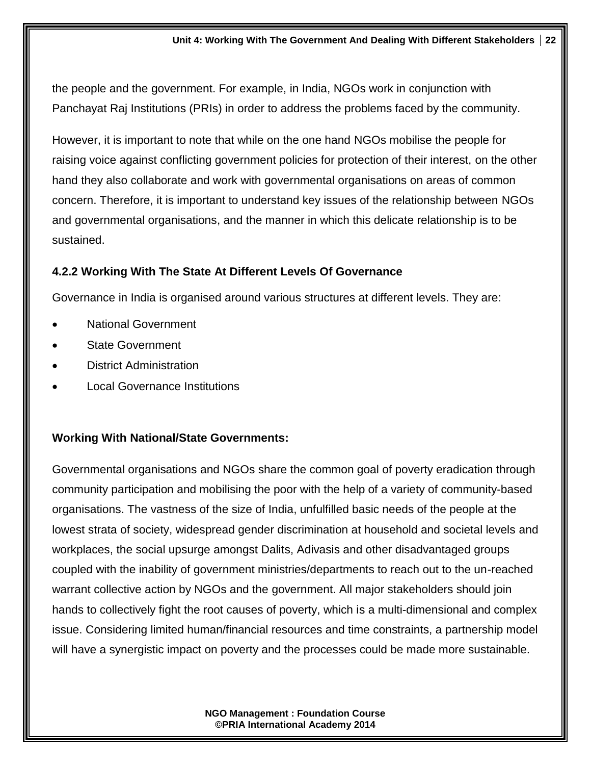the people and the government. For example, in India, NGOs work in conjunction with Panchayat Raj Institutions (PRIs) in order to address the problems faced by the community.

However, it is important to note that while on the one hand NGOs mobilise the people for raising voice against conflicting government policies for protection of their interest, on the other hand they also collaborate and work with governmental organisations on areas of common concern. Therefore, it is important to understand key issues of the relationship between NGOs and governmental organisations, and the manner in which this delicate relationship is to be sustained.

#### **4.2.2 Working With The State At Different Levels Of Governance**

Governance in India is organised around various structures at different levels. They are:

- National Government
- State Government
- District Administration
- Local Governance Institutions

#### **Working With National/State Governments:**

Governmental organisations and NGOs share the common goal of poverty eradication through community participation and mobilising the poor with the help of a variety of community-based organisations. The vastness of the size of India, unfulfilled basic needs of the people at the lowest strata of society, widespread gender discrimination at household and societal levels and workplaces, the social upsurge amongst Dalits, Adivasis and other disadvantaged groups coupled with the inability of government ministries/departments to reach out to the un-reached warrant collective action by NGOs and the government. All major stakeholders should join hands to collectively fight the root causes of poverty, which is a multi-dimensional and complex issue. Considering limited human/financial resources and time constraints, a partnership model will have a synergistic impact on poverty and the processes could be made more sustainable.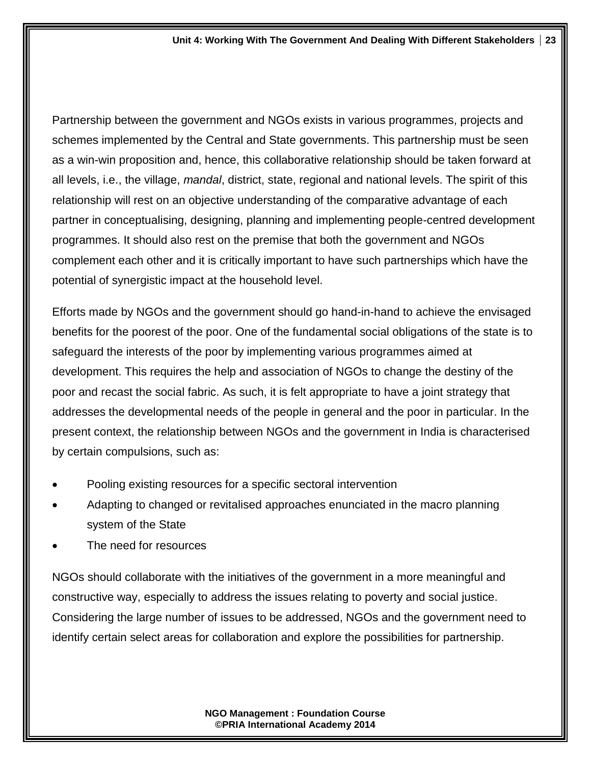Partnership between the government and NGOs exists in various programmes, projects and schemes implemented by the Central and State governments. This partnership must be seen as a win-win proposition and, hence, this collaborative relationship should be taken forward at all levels, i.e., the village, *mandal*, district, state, regional and national levels. The spirit of this relationship will rest on an objective understanding of the comparative advantage of each partner in conceptualising, designing, planning and implementing people-centred development programmes. It should also rest on the premise that both the government and NGOs complement each other and it is critically important to have such partnerships which have the potential of synergistic impact at the household level.

Efforts made by NGOs and the government should go hand-in-hand to achieve the envisaged benefits for the poorest of the poor. One of the fundamental social obligations of the state is to safeguard the interests of the poor by implementing various programmes aimed at development. This requires the help and association of NGOs to change the destiny of the poor and recast the social fabric. As such, it is felt appropriate to have a joint strategy that addresses the developmental needs of the people in general and the poor in particular. In the present context, the relationship between NGOs and the government in India is characterised by certain compulsions, such as:

- Pooling existing resources for a specific sectoral intervention
- Adapting to changed or revitalised approaches enunciated in the macro planning system of the State
- The need for resources

NGOs should collaborate with the initiatives of the government in a more meaningful and constructive way, especially to address the issues relating to poverty and social justice. Considering the large number of issues to be addressed, NGOs and the government need to identify certain select areas for collaboration and explore the possibilities for partnership.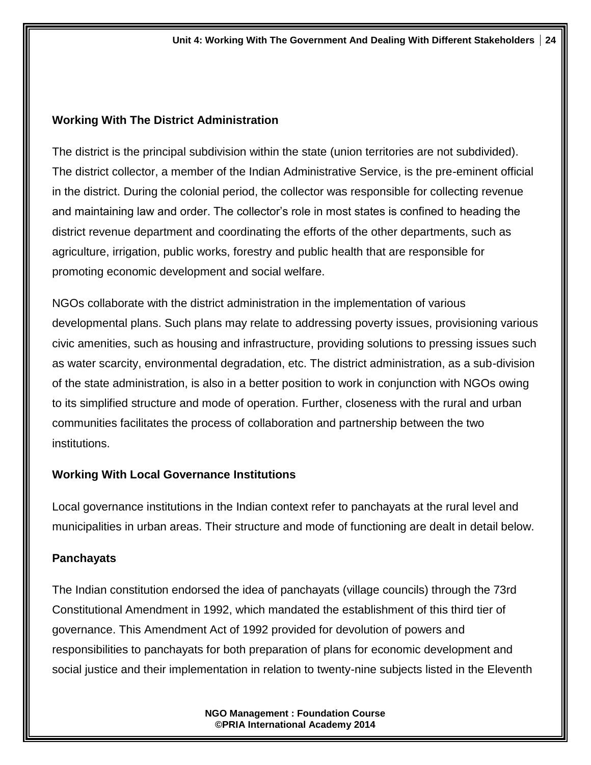#### **Working With The District Administration**

The district is the principal subdivision within the state (union territories are not subdivided). The district collector, a member of the Indian Administrative Service, is the pre-eminent official in the district. During the colonial period, the collector was responsible for collecting revenue and maintaining law and order. The collector's role in most states is confined to heading the district revenue department and coordinating the efforts of the other departments, such as agriculture, irrigation, public works, forestry and public health that are responsible for promoting economic development and social welfare.

NGOs collaborate with the district administration in the implementation of various developmental plans. Such plans may relate to addressing poverty issues, provisioning various civic amenities, such as housing and infrastructure, providing solutions to pressing issues such as water scarcity, environmental degradation, etc. The district administration, as a sub-division of the state administration, is also in a better position to work in conjunction with NGOs owing to its simplified structure and mode of operation. Further, closeness with the rural and urban communities facilitates the process of collaboration and partnership between the two institutions.

## **Working With Local Governance Institutions**

Local governance institutions in the Indian context refer to panchayats at the rural level and municipalities in urban areas. Their structure and mode of functioning are dealt in detail below.

## **Panchayats**

The Indian constitution endorsed the idea of panchayats (village councils) through the 73rd Constitutional Amendment in 1992, which mandated the establishment of this third tier of governance. This Amendment Act of 1992 provided for devolution of powers and responsibilities to panchayats for both preparation of plans for economic development and social justice and their implementation in relation to twenty-nine subjects listed in the Eleventh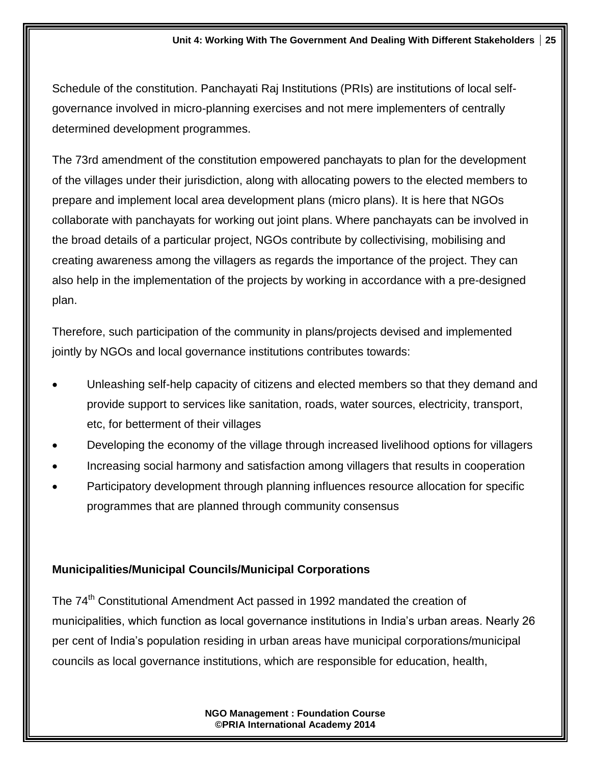Schedule of the constitution. Panchayati Raj Institutions (PRIs) are institutions of local selfgovernance involved in micro-planning exercises and not mere implementers of centrally determined development programmes.

The 73rd amendment of the constitution empowered panchayats to plan for the development of the villages under their jurisdiction, along with allocating powers to the elected members to prepare and implement local area development plans (micro plans). It is here that NGOs collaborate with panchayats for working out joint plans. Where panchayats can be involved in the broad details of a particular project, NGOs contribute by collectivising, mobilising and creating awareness among the villagers as regards the importance of the project. They can also help in the implementation of the projects by working in accordance with a pre-designed plan.

Therefore, such participation of the community in plans/projects devised and implemented jointly by NGOs and local governance institutions contributes towards:

- Unleashing self-help capacity of citizens and elected members so that they demand and provide support to services like sanitation, roads, water sources, electricity, transport, etc, for betterment of their villages
- Developing the economy of the village through increased livelihood options for villagers
- Increasing social harmony and satisfaction among villagers that results in cooperation
- Participatory development through planning influences resource allocation for specific programmes that are planned through community consensus

## **Municipalities/Municipal Councils/Municipal Corporations**

The 74<sup>th</sup> Constitutional Amendment Act passed in 1992 mandated the creation of municipalities, which function as local governance institutions in India's urban areas. Nearly 26 per cent of [India's population](http://www.indianchild.com/panchayats_system_india.htm) residing in urban areas have municipal corporations/municipal councils as local governance institutions, which are responsible for education, health,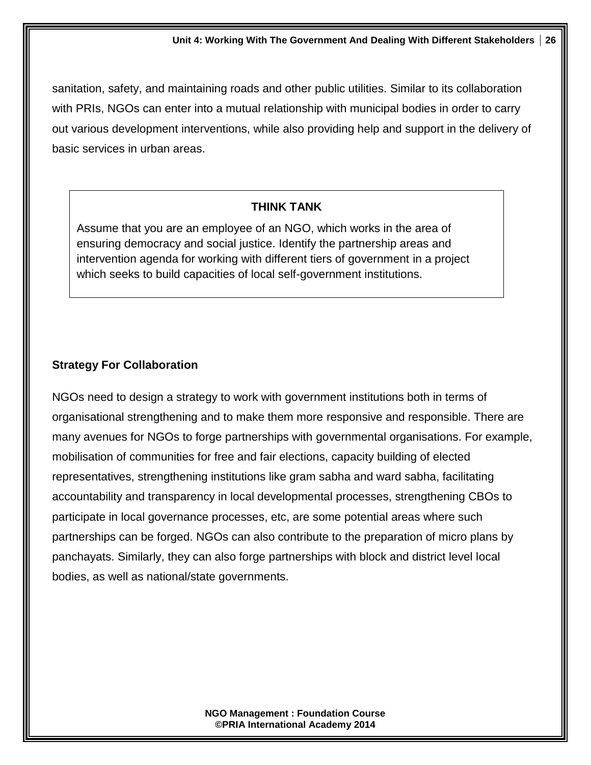sanitation, safety, and maintaining roads and other public utilities. Similar to its collaboration with PRIs, NGOs can enter into a mutual relationship with municipal bodies in order to carry out various development interventions, while also providing help and support in the delivery of basic services in urban areas.

#### **THINK TANK**

Assume that you are an employee of an NGO, which works in the area of ensuring democracy and social justice. Identify the partnership areas and intervention agenda for working with different tiers of government in a project which seeks to build capacities of local self-government institutions.

## **Strategy For Collaboration**

NGOs need to design a strategy to work with government institutions both in terms of organisational strengthening and to make them more responsive and responsible. There are many avenues for NGOs to forge partnerships with governmental organisations. For example, mobilisation of communities for free and fair elections, capacity building of elected representatives, strengthening institutions like gram sabha and ward sabha, facilitating accountability and transparency in local developmental processes, strengthening CBOs to participate in local governance processes, etc, are some potential areas where such partnerships can be forged. NGOs can also contribute to the preparation of micro plans by panchayats. Similarly, they can also forge partnerships with block and district level local bodies, as well as national/state governments.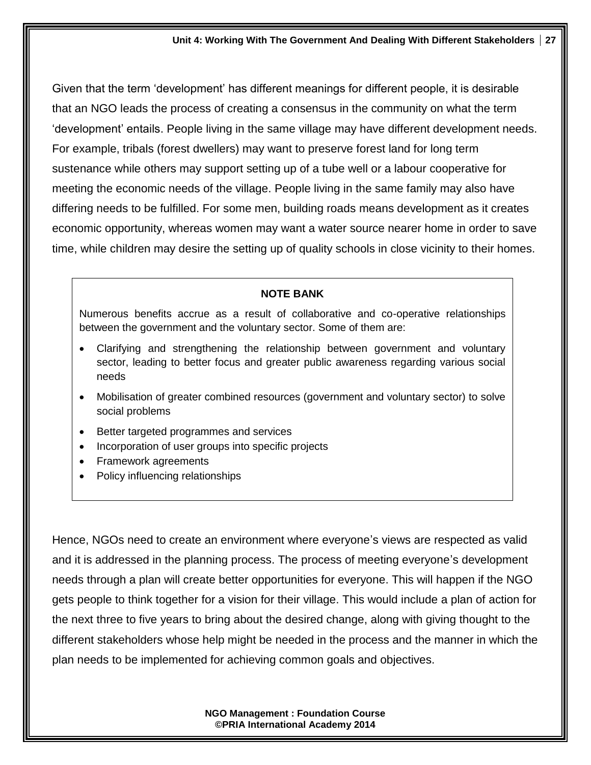Given that the term 'development' has different meanings for different people, it is desirable that an NGO leads the process of creating a consensus in the community on what the term 'development' entails. People living in the same village may have different development needs. For example, tribals (forest dwellers) may want to preserve forest land for long term sustenance while others may support setting up of a tube well or a labour cooperative for meeting the economic needs of the village. People living in the same family may also have differing needs to be fulfilled. For some men, building roads means development as it creates economic opportunity, whereas women may want a water source nearer home in order to save time, while children may desire the setting up of quality schools in close vicinity to their homes.

#### **NOTE BANK**

Numerous benefits accrue as a result of collaborative and co-operative relationships between the government and the voluntary sector. Some of them are:

- Clarifying and strengthening the relationship between government and voluntary sector, leading to better focus and greater public awareness regarding various social needs
- Mobilisation of greater combined resources (government and voluntary sector) to solve social problems
- Better targeted programmes and services
- Incorporation of user groups into specific projects
- Framework agreements
- Policy influencing relationships

Hence, NGOs need to create an environment where everyone's views are respected as valid and it is addressed in the planning process. The process of meeting everyone's development needs through a plan will create better opportunities for everyone. This will happen if the NGO gets people to think together for a vision for their village. This would include a plan of action for the next three to five years to bring about the desired change, along with giving thought to the different stakeholders whose help might be needed in the process and the manner in which the plan needs to be implemented for achieving common goals and objectives.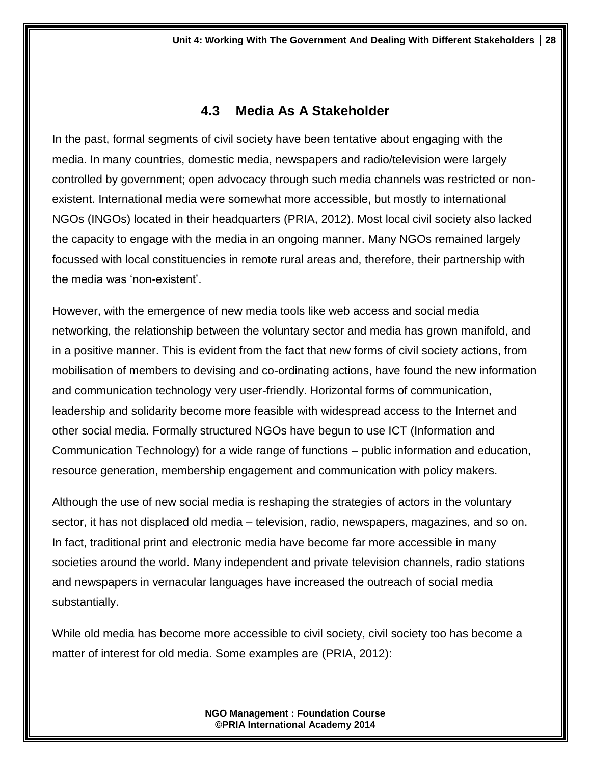## **4.3 Media As A Stakeholder**

In the past, formal segments of civil society have been tentative about engaging with the media. In many countries, domestic media, newspapers and radio/television were largely controlled by government; open advocacy through such media channels was restricted or nonexistent. International media were somewhat more accessible, but mostly to international NGOs (INGOs) located in their headquarters (PRIA, 2012). Most local civil society also lacked the capacity to engage with the media in an ongoing manner. Many NGOs remained largely focussed with local constituencies in remote rural areas and, therefore, their partnership with the media was 'non-existent'.

However, with the emergence of new media tools like web access and social media networking, the relationship between the voluntary sector and media has grown manifold, and in a positive manner. This is evident from the fact that new forms of civil society actions, from mobilisation of members to devising and co-ordinating actions, have found the new information and communication technology very user-friendly. Horizontal forms of communication, leadership and solidarity become more feasible with widespread access to the Internet and other social media. Formally structured NGOs have begun to use ICT (Information and Communication Technology) for a wide range of functions – public information and education, resource generation, membership engagement and communication with policy makers.

Although the use of new social media is reshaping the strategies of actors in the voluntary sector, it has not displaced old media – television, radio, newspapers, magazines, and so on. In fact, traditional print and electronic media have become far more accessible in many societies around the world. Many independent and private television channels, radio stations and newspapers in vernacular languages have increased the outreach of social media substantially.

While old media has become more accessible to civil society, civil society too has become a matter of interest for old media. Some examples are (PRIA, 2012):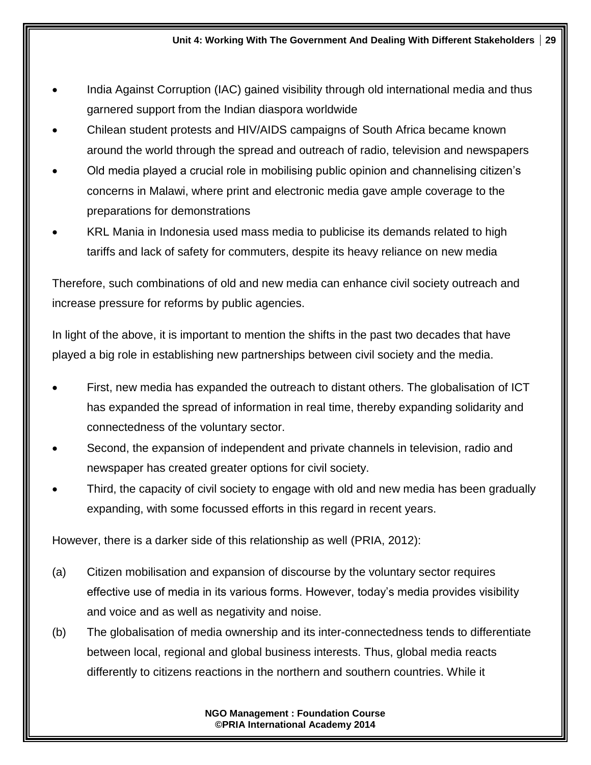- India Against Corruption (IAC) gained visibility through old international media and thus garnered support from the Indian diaspora worldwide
- Chilean student protests and HIV/AIDS campaigns of South Africa became known around the world through the spread and outreach of radio, television and newspapers
- Old media played a crucial role in mobilising public opinion and channelising citizen's concerns in Malawi, where print and electronic media gave ample coverage to the preparations for demonstrations
- KRL Mania in Indonesia used mass media to publicise its demands related to high tariffs and lack of safety for commuters, despite its heavy reliance on new media

Therefore, such combinations of old and new media can enhance civil society outreach and increase pressure for reforms by public agencies.

In light of the above, it is important to mention the shifts in the past two decades that have played a big role in establishing new partnerships between civil society and the media.

- First, new media has expanded the outreach to distant others. The globalisation of ICT has expanded the spread of information in real time, thereby expanding solidarity and connectedness of the voluntary sector.
- Second, the expansion of independent and private channels in television, radio and newspaper has created greater options for civil society.
- Third, the capacity of civil society to engage with old and new media has been gradually expanding, with some focussed efforts in this regard in recent years.

However, there is a darker side of this relationship as well (PRIA, 2012):

- (a) Citizen mobilisation and expansion of discourse by the voluntary sector requires effective use of media in its various forms. However, today's media provides visibility and voice and as well as negativity and noise.
- (b) The globalisation of media ownership and its inter-connectedness tends to differentiate between local, regional and global business interests. Thus, global media reacts differently to citizens reactions in the northern and southern countries. While it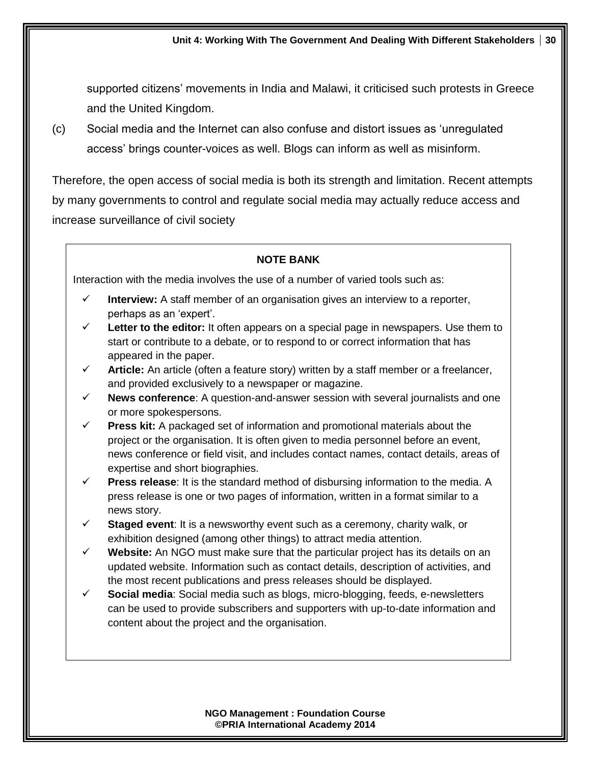supported citizens' movements in India and Malawi, it criticised such protests in Greece and the United Kingdom.

(c) Social media and the Internet can also confuse and distort issues as 'unregulated access' brings counter-voices as well. Blogs can inform as well as misinform.

Therefore, the open access of social media is both its strength and limitation. Recent attempts by many governments to control and regulate social media may actually reduce access and increase surveillance of civil society

#### **NOTE BANK**

Interaction with the media involves the use of a number of varied tools such as:

- **Interview:** A staff member of an organisation gives an interview to a reporter, perhaps as an 'expert'.
- **Letter to the editor:** It often appears on a special page in newspapers. Use them to start or contribute to a debate, or to respond to or correct information that has appeared in the paper.
- $\checkmark$  **Article:** An article (often a feature story) written by a staff member or a freelancer, and provided exclusively to a newspaper or magazine.
- **News conference**: A question-and-answer session with several journalists and one or more spokespersons.
- **Press kit:** A packaged set of information and promotional materials about the project or the organisation. It is often given to media personnel before an event, news conference or field visit, and includes contact names, contact details, areas of expertise and short biographies.
- **Press release:** It is the standard method of disbursing information to the media. A press release is one or two pages of information, written in a format similar to a news story.
- **Staged event**: It is a newsworthy event such as a ceremony, charity walk, or exhibition designed (among other things) to attract media attention.
- **Website:** An NGO must make sure that the particular project has its details on an updated website. Information such as contact details, description of activities, and the most recent publications and press releases should be displayed.
- **Social media**: Social media such as blogs, micro-blogging, feeds, e-newsletters can be used to provide subscribers and supporters with up-to-date information and content about the project and the organisation.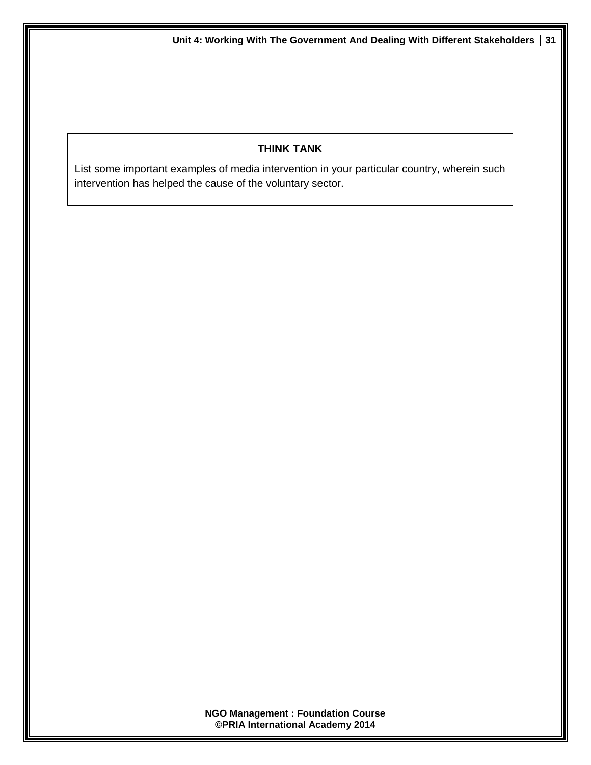#### **THINK TANK**

List some important examples of media intervention in your particular country, wherein such intervention has helped the cause of the voluntary sector.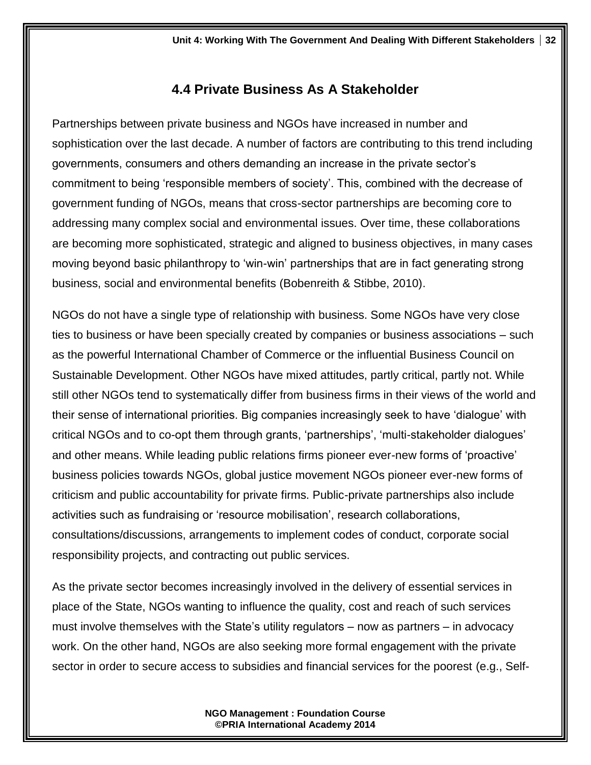# **4.4 Private Business As A Stakeholder**

Partnerships between private business and NGOs have increased in number and sophistication over the last decade. A number of factors are contributing to this trend including governments, consumers and others demanding an increase in the private sector's commitment to being 'responsible members of society'. This, combined with the decrease of government funding of NGOs, means that cross-sector partnerships are becoming core to addressing many complex social and environmental issues. Over time, these collaborations are becoming more sophisticated, strategic and aligned to business objectives, in many cases moving beyond basic philanthropy to 'win-win' partnerships that are in fact generating strong business, social and environmental benefits (Bobenreith & Stibbe, 2010).

NGOs do not have a single type of relationship with business. Some NGOs have very close ties to business or have been specially created by companies or business associations – such as the powerful International Chamber of Commerce or the influential Business Council on Sustainable Development. Other NGOs have mixed attitudes, partly critical, partly not. While still other NGOs tend to systematically differ from business firms in their views of the world and their sense of international priorities. Big companies increasingly seek to have 'dialogue' with critical NGOs and to co-opt them through grants, 'partnerships', 'multi-stakeholder dialogues' and other means. While leading public relations firms pioneer ever-new forms of 'proactive' business policies towards NGOs, global justice movement NGOs pioneer ever-new forms of criticism and public accountability for private firms. Public-private partnerships also include activities such as fundraising or 'resource mobilisation', research collaborations, consultations/discussions, arrangements to implement codes of conduct, corporate social responsibility projects, and contracting out public services.

As the private sector becomes increasingly involved in the delivery of essential services in place of the State, NGOs wanting to influence the quality, cost and reach of such services must involve themselves with the State's utility regulators – now as partners – in advocacy work. On the other hand, NGOs are also seeking more formal engagement with the private sector in order to secure access to subsidies and financial services for the poorest (e.g., Self-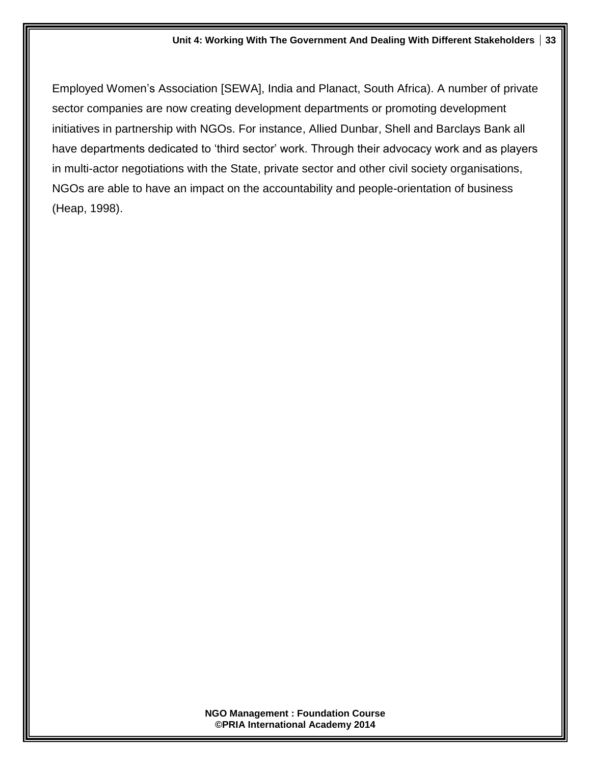#### **Unit 4: Working With The Government And Dealing With Different Stakeholders 33**

Employed Women's Association [SEWA], India and Planact, South Africa). A number of private sector companies are now creating development departments or promoting development initiatives in partnership with NGOs. For instance, Allied Dunbar, Shell and Barclays Bank all have departments dedicated to 'third sector' work. Through their advocacy work and as players in multi-actor negotiations with the State, private sector and other civil society organisations, NGOs are able to have an impact on the accountability and people-orientation of business (Heap, 1998).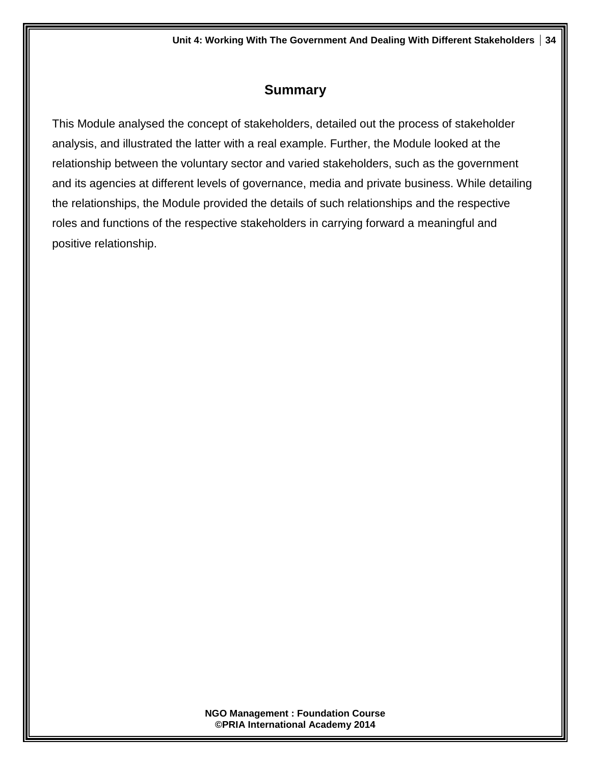# **Summary**

This Module analysed the concept of stakeholders, detailed out the process of stakeholder analysis, and illustrated the latter with a real example. Further, the Module looked at the relationship between the voluntary sector and varied stakeholders, such as the government and its agencies at different levels of governance, media and private business. While detailing the relationships, the Module provided the details of such relationships and the respective roles and functions of the respective stakeholders in carrying forward a meaningful and positive relationship.